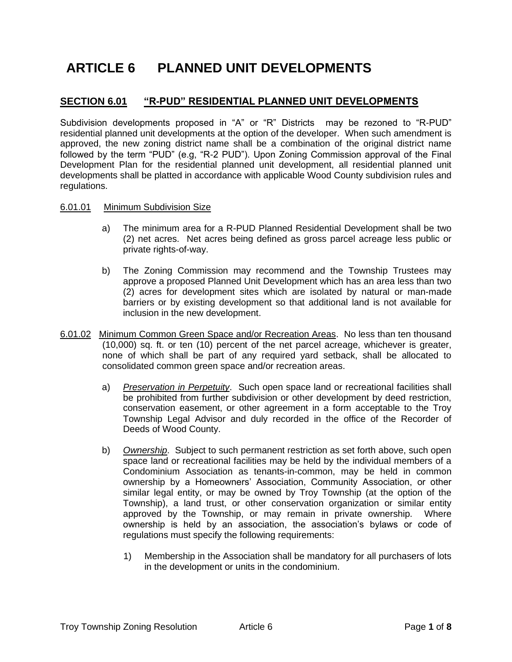# **ARTICLE 6 PLANNED UNIT DEVELOPMENTS**

## **SECTION 6.01 "R-PUD" RESIDENTIAL PLANNED UNIT DEVELOPMENTS**

Subdivision developments proposed in "A" or "R" Districts may be rezoned to "R-PUD" residential planned unit developments at the option of the developer. When such amendment is approved, the new zoning district name shall be a combination of the original district name followed by the term "PUD" (e.g, "R-2 PUD"). Upon Zoning Commission approval of the Final Development Plan for the residential planned unit development, all residential planned unit developments shall be platted in accordance with applicable Wood County subdivision rules and regulations.

#### 6.01.01 Minimum Subdivision Size

- a) The minimum area for a R-PUD Planned Residential Development shall be two (2) net acres. Net acres being defined as gross parcel acreage less public or private rights-of-way.
- b) The Zoning Commission may recommend and the Township Trustees may approve a proposed Planned Unit Development which has an area less than two (2) acres for development sites which are isolated by natural or man-made barriers or by existing development so that additional land is not available for inclusion in the new development.
- 6.01.02 Minimum Common Green Space and/or Recreation Areas. No less than ten thousand (10,000) sq. ft. or ten (10) percent of the net parcel acreage, whichever is greater, none of which shall be part of any required yard setback, shall be allocated to consolidated common green space and/or recreation areas.
	- a) *Preservation in Perpetuity*. Such open space land or recreational facilities shall be prohibited from further subdivision or other development by deed restriction, conservation easement, or other agreement in a form acceptable to the Troy Township Legal Advisor and duly recorded in the office of the Recorder of Deeds of Wood County.
	- b) *Ownership*. Subject to such permanent restriction as set forth above, such open space land or recreational facilities may be held by the individual members of a Condominium Association as tenants-in-common, may be held in common ownership by a Homeowners' Association, Community Association, or other similar legal entity, or may be owned by Troy Township (at the option of the Township), a land trust, or other conservation organization or similar entity approved by the Township, or may remain in private ownership. Where ownership is held by an association, the association's bylaws or code of regulations must specify the following requirements:
		- 1) Membership in the Association shall be mandatory for all purchasers of lots in the development or units in the condominium.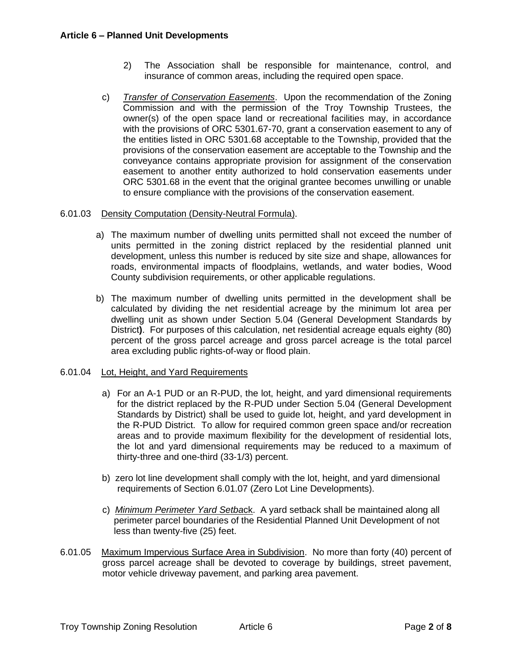- 2) The Association shall be responsible for maintenance, control, and insurance of common areas, including the required open space.
- c) *Transfer of Conservation Easements*. Upon the recommendation of the Zoning Commission and with the permission of the Troy Township Trustees, the owner(s) of the open space land or recreational facilities may, in accordance with the provisions of ORC 5301.67-70, grant a conservation easement to any of the entities listed in ORC 5301.68 acceptable to the Township, provided that the provisions of the conservation easement are acceptable to the Township and the conveyance contains appropriate provision for assignment of the conservation easement to another entity authorized to hold conservation easements under ORC 5301.68 in the event that the original grantee becomes unwilling or unable to ensure compliance with the provisions of the conservation easement.

#### 6.01.03 Density Computation (Density-Neutral Formula).

- a) The maximum number of dwelling units permitted shall not exceed the number of units permitted in the zoning district replaced by the residential planned unit development, unless this number is reduced by site size and shape, allowances for roads, environmental impacts of floodplains, wetlands, and water bodies, Wood County subdivision requirements, or other applicable regulations.
- b) The maximum number of dwelling units permitted in the development shall be calculated by dividing the net residential acreage by the minimum lot area per dwelling unit as shown under Section 5.04 (General Development Standards by District**)**. For purposes of this calculation, net residential acreage equals eighty (80) percent of the gross parcel acreage and gross parcel acreage is the total parcel area excluding public rights-of-way or flood plain.

#### 6.01.04 Lot, Height, and Yard Requirements

- a) For an A-1 PUD or an R-PUD, the lot, height, and yard dimensional requirements for the district replaced by the R-PUD under Section 5.04 (General Development Standards by District) shall be used to guide lot, height, and yard development in the R-PUD District. To allow for required common green space and/or recreation areas and to provide maximum flexibility for the development of residential lots, the lot and yard dimensional requirements may be reduced to a maximum of thirty-three and one-third (33-1/3) percent.
- b) zero lot line development shall comply with the lot, height, and yard dimensional requirements of [Section 6.01.07](#page-2-0) (Zero Lot Line Developments).
- c) *Minimum Perimeter Yard Setba*ck. A yard setback shall be maintained along all perimeter parcel boundaries of the Residential Planned Unit Development of not less than twenty-five (25) feet.
- 6.01.05 Maximum Impervious Surface Area in Subdivision. No more than forty (40) percent of gross parcel acreage shall be devoted to coverage by buildings, street pavement, motor vehicle driveway pavement, and parking area pavement.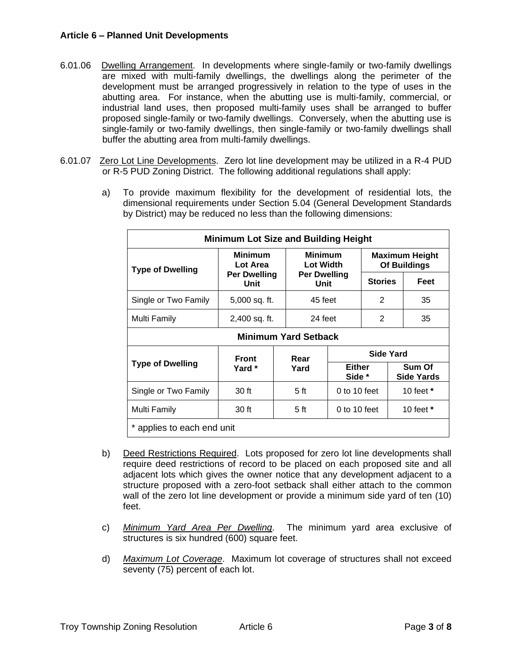#### **Article 6 – Planned Unit Developments**

- 6.01.06 Dwelling Arrangement. In developments where single-family or two-family dwellings are mixed with multi-family dwellings, the dwellings along the perimeter of the development must be arranged progressively in relation to the type of uses in the abutting area. For instance, when the abutting use is multi-family, commercial, or industrial land uses, then proposed multi-family uses shall be arranged to buffer proposed single-family or two-family dwellings. Conversely, when the abutting use is single-family or two-family dwellings, then single-family or two-family dwellings shall buffer the abutting area from multi-family dwellings.
- <span id="page-2-0"></span>6.01.07 Zero Lot Line Developments. Zero lot line development may be utilized in a R-4 PUD or R-5 PUD Zoning District. The following additional regulations shall apply:
	- a) To provide maximum flexibility for the development of residential lots, the dimensional requirements under Section 5.04 (General Development Standards by District) may be reduced no less than the following dimensions:

| <b>Minimum Lot Size and Building Height</b> |                                                           |              |                                                                   |                  |                                       |             |      |
|---------------------------------------------|-----------------------------------------------------------|--------------|-------------------------------------------------------------------|------------------|---------------------------------------|-------------|------|
| <b>Type of Dwelling</b>                     | <b>Minimum</b><br>Lot Area<br><b>Per Dwelling</b><br>Unit |              | <b>Minimum</b><br><b>Lot Width</b><br><b>Per Dwelling</b><br>Unit |                  | <b>Maximum Height</b><br>Of Buildings |             |      |
|                                             |                                                           |              |                                                                   |                  | <b>Stories</b>                        |             | Feet |
| Single or Two Family                        | 5,000 sq. ft.                                             |              | 45 feet                                                           |                  | 2                                     |             | 35   |
| Multi Family                                | 2,400 sq. ft.                                             |              | 24 feet                                                           |                  | 2                                     |             | 35   |
| <b>Minimum Yard Setback</b>                 |                                                           |              |                                                                   |                  |                                       |             |      |
| <b>Type of Dwelling</b>                     | Front<br>Yard *                                           | Rear<br>Yard |                                                                   | <b>Side Yard</b> |                                       |             |      |
|                                             |                                                           |              | <b>Either</b><br>Side *                                           |                  | Sum Of<br><b>Side Yards</b>           |             |      |
| Single or Two Family                        | 30 ft                                                     |              | 5 <sub>ft</sub>                                                   | 0 to 10 feet     |                                       | 10 feet $*$ |      |
| Multi Family                                | 30 ft                                                     |              | 5 <sub>ft</sub>                                                   | 0 to 10 feet     |                                       | 10 feet $*$ |      |
| * applies to each end unit                  |                                                           |              |                                                                   |                  |                                       |             |      |

- b) Deed Restrictions Required. Lots proposed for zero lot line developments shall require deed restrictions of record to be placed on each proposed site and all adjacent lots which gives the owner notice that any development adjacent to a structure proposed with a zero-foot setback shall either attach to the common wall of the zero lot line development or provide a minimum side yard of ten (10) feet.
- c) *Minimum Yard Area Per Dwelling*. The minimum yard area exclusive of structures is six hundred (600) square feet.
- d) *Maximum Lot Coverage*. Maximum lot coverage of structures shall not exceed seventy (75) percent of each lot.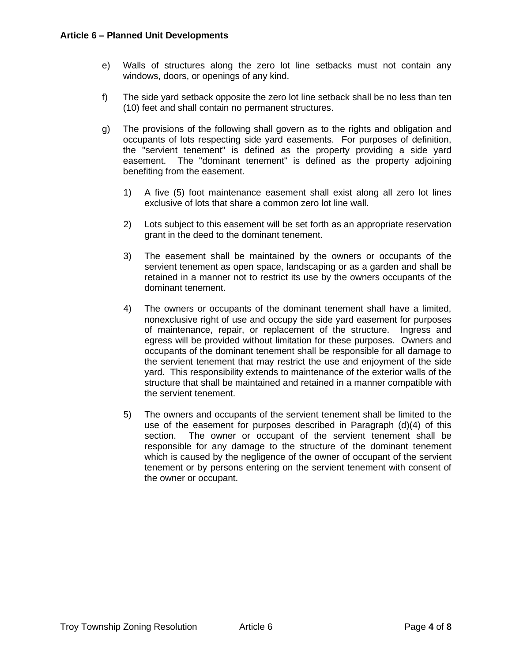- e) Walls of structures along the zero lot line setbacks must not contain any windows, doors, or openings of any kind.
- f) The side yard setback opposite the zero lot line setback shall be no less than ten (10) feet and shall contain no permanent structures.
- g) The provisions of the following shall govern as to the rights and obligation and occupants of lots respecting side yard easements. For purposes of definition, the "servient tenement" is defined as the property providing a side yard easement. The "dominant tenement" is defined as the property adjoining benefiting from the easement.
	- 1) A five (5) foot maintenance easement shall exist along all zero lot lines exclusive of lots that share a common zero lot line wall.
	- 2) Lots subject to this easement will be set forth as an appropriate reservation grant in the deed to the dominant tenement.
	- 3) The easement shall be maintained by the owners or occupants of the servient tenement as open space, landscaping or as a garden and shall be retained in a manner not to restrict its use by the owners occupants of the dominant tenement.
	- 4) The owners or occupants of the dominant tenement shall have a limited, nonexclusive right of use and occupy the side yard easement for purposes of maintenance, repair, or replacement of the structure. Ingress and egress will be provided without limitation for these purposes. Owners and occupants of the dominant tenement shall be responsible for all damage to the servient tenement that may restrict the use and enjoyment of the side yard. This responsibility extends to maintenance of the exterior walls of the structure that shall be maintained and retained in a manner compatible with the servient tenement.
	- 5) The owners and occupants of the servient tenement shall be limited to the use of the easement for purposes described in Paragraph (d)(4) of this section. The owner or occupant of the servient tenement shall be responsible for any damage to the structure of the dominant tenement which is caused by the negligence of the owner of occupant of the servient tenement or by persons entering on the servient tenement with consent of the owner or occupant.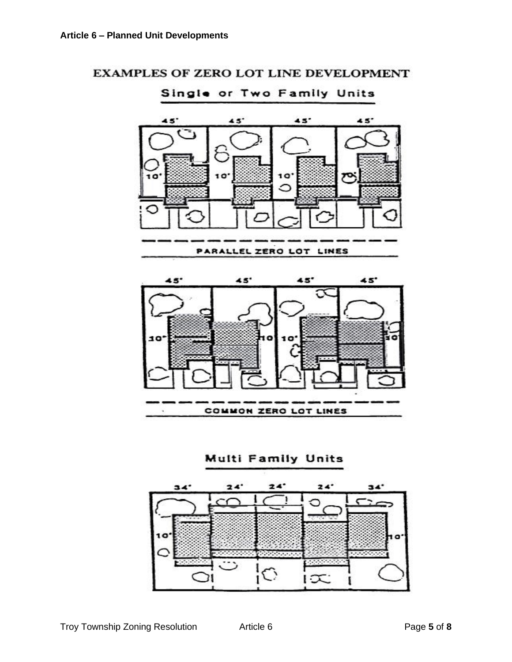



Single or Two Family Units

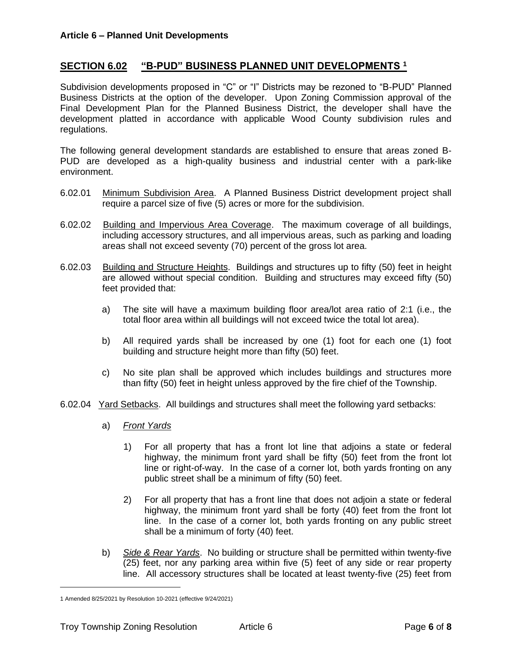## **SECTION 6.02 "B-PUD" BUSINESS PLANNED UNIT DEVELOPMENTS <sup>1</sup>**

Subdivision developments proposed in "C" or "I" Districts may be rezoned to "B-PUD" Planned Business Districts at the option of the developer. Upon Zoning Commission approval of the Final Development Plan for the Planned Business District, the developer shall have the development platted in accordance with applicable Wood County subdivision rules and regulations.

The following general development standards are established to ensure that areas zoned B-PUD are developed as a high-quality business and industrial center with a park-like environment.

- 6.02.01 Minimum Subdivision Area. A Planned Business District development project shall require a parcel size of five (5) acres or more for the subdivision.
- 6.02.02 Building and Impervious Area Coverage. The maximum coverage of all buildings, including accessory structures, and all impervious areas, such as parking and loading areas shall not exceed seventy (70) percent of the gross lot area.
- 6.02.03 Building and Structure Heights. Buildings and structures up to fifty (50) feet in height are allowed without special condition. Building and structures may exceed fifty (50) feet provided that:
	- a) The site will have a maximum building floor area/lot area ratio of 2:1 (i.e., the total floor area within all buildings will not exceed twice the total lot area).
	- b) All required yards shall be increased by one (1) foot for each one (1) foot building and structure height more than fifty (50) feet.
	- c) No site plan shall be approved which includes buildings and structures more than fifty (50) feet in height unless approved by the fire chief of the Township.
- 6.02.04 Yard Setbacks. All buildings and structures shall meet the following yard setbacks:
	- a) *Front Yards*
		- 1) For all property that has a front lot line that adjoins a state or federal highway, the minimum front yard shall be fifty (50) feet from the front lot line or right-of-way. In the case of a corner lot, both yards fronting on any public street shall be a minimum of fifty (50) feet.
		- 2) For all property that has a front line that does not adjoin a state or federal highway, the minimum front yard shall be forty (40) feet from the front lot line. In the case of a corner lot, both yards fronting on any public street shall be a minimum of forty (40) feet.
	- b) *Side & Rear Yards*. No building or structure shall be permitted within twenty-five (25) feet, nor any parking area within five (5) feet of any side or rear property line. All accessory structures shall be located at least twenty-five (25) feet from

<sup>1</sup> Amended 8/25/2021 by Resolution 10-2021 (effective 9/24/2021)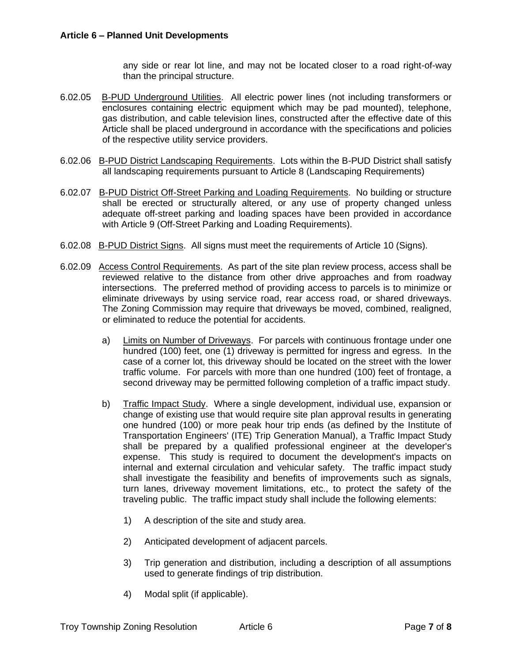any side or rear lot line, and may not be located closer to a road right-of-way than the principal structure.

- 6.02.05 B-PUD Underground Utilities. All electric power lines (not including transformers or enclosures containing electric equipment which may be pad mounted), telephone, gas distribution, and cable television lines, constructed after the effective date of this Article shall be placed underground in accordance with the specifications and policies of the respective utility service providers.
- 6.02.06 B-PUD District Landscaping Requirements. Lots within the B-PUD District shall satisfy all landscaping requirements pursuant to Article 8 (Landscaping Requirements)
- 6.02.07 B-PUD District Off-Street Parking and Loading Requirements. No building or structure shall be erected or structurally altered, or any use of property changed unless adequate off-street parking and loading spaces have been provided in accordance with Article 9 (Off-Street Parking and Loading Requirements).
- 6.02.08 B-PUD District Signs. All signs must meet the requirements of Article 10 (Signs).
- 6.02.09 Access Control Requirements. As part of the site plan review process, access shall be reviewed relative to the distance from other drive approaches and from roadway intersections. The preferred method of providing access to parcels is to minimize or eliminate driveways by using service road, rear access road, or shared driveways. The Zoning Commission may require that driveways be moved, combined, realigned, or eliminated to reduce the potential for accidents.
	- a) Limits on Number of Driveways. For parcels with continuous frontage under one hundred (100) feet, one (1) driveway is permitted for ingress and egress. In the case of a corner lot, this driveway should be located on the street with the lower traffic volume. For parcels with more than one hundred (100) feet of frontage, a second driveway may be permitted following completion of a traffic impact study.
	- b) Traffic Impact Study. Where a single development, individual use, expansion or change of existing use that would require site plan approval results in generating one hundred (100) or more peak hour trip ends (as defined by the Institute of Transportation Engineers' (ITE) Trip Generation Manual), a Traffic Impact Study shall be prepared by a qualified professional engineer at the developer's expense. This study is required to document the development's impacts on internal and external circulation and vehicular safety. The traffic impact study shall investigate the feasibility and benefits of improvements such as signals, turn lanes, driveway movement limitations, etc., to protect the safety of the traveling public. The traffic impact study shall include the following elements:
		- 1) A description of the site and study area.
		- 2) Anticipated development of adjacent parcels.
		- 3) Trip generation and distribution, including a description of all assumptions used to generate findings of trip distribution.
		- 4) Modal split (if applicable).